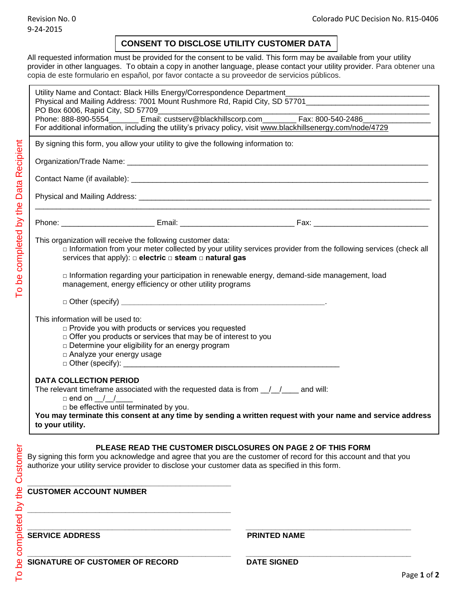## **CONSENT TO DISCLOSE UTILITY CUSTOMER DATA**

All requested information must be provided for the consent to be valid. This form may be available from your utility provider in other languages. To obtain a copy in another language, please contact your utility provider. Para obtener una copia de este formulario en español, por favor contacte a su proveedor de servicios públicos.

| Utility Name and Contact: Black Hills Energy/Correspondence Department_<br>Physical and Mailing Address: 7001 Mount Rushmore Rd, Rapid City, SD 57701__________________________<br>PO Box 6006, Rapid City, SD 57709<br>For additional information, including the utility's privacy policy, visit www.blackhillsenergy.com/node/4729<br>By signing this form, you allow your utility to give the following information to: |                                                                                                                       |
|----------------------------------------------------------------------------------------------------------------------------------------------------------------------------------------------------------------------------------------------------------------------------------------------------------------------------------------------------------------------------------------------------------------------------|-----------------------------------------------------------------------------------------------------------------------|
|                                                                                                                                                                                                                                                                                                                                                                                                                            |                                                                                                                       |
|                                                                                                                                                                                                                                                                                                                                                                                                                            |                                                                                                                       |
|                                                                                                                                                                                                                                                                                                                                                                                                                            |                                                                                                                       |
|                                                                                                                                                                                                                                                                                                                                                                                                                            |                                                                                                                       |
|                                                                                                                                                                                                                                                                                                                                                                                                                            |                                                                                                                       |
| This organization will receive the following customer data:<br>services that apply): $\Box$ electric $\Box$ steam $\Box$ natural gas                                                                                                                                                                                                                                                                                       | $\Box$ Information from your meter collected by your utility services provider from the following services (check all |
| □ Information regarding your participation in renewable energy, demand-side management, load<br>management, energy efficiency or other utility programs                                                                                                                                                                                                                                                                    |                                                                                                                       |
|                                                                                                                                                                                                                                                                                                                                                                                                                            |                                                                                                                       |
| This information will be used to:<br>p Provide you with products or services you requested<br>$\Box$ Offer you products or services that may be of interest to you<br>$\Box$ Determine your eligibility for an energy program<br>$\Box$ Analyze your energy usage<br>$\Box$ Other (specify): $\Box$                                                                                                                        |                                                                                                                       |
| <b>DATA COLLECTION PERIOD</b><br>The relevant timeframe associated with the requested data is from $\frac{1}{1-\frac{1}{2}}$ and will:<br>$\Box$ end on / /<br>$\Box$ be effective until terminated by you.<br>You may terminate this consent at any time by sending a written request with your name and service address<br>to your utility.                                                                              |                                                                                                                       |
| <b>PLEASE READ THE CUSTOMER DISCLOSURES ON PAGE 2 OF THIS FORM</b><br>By signing this form you acknowledge and agree that you are the customer of record for this account and that you<br>authorize your utility service provider to disclose your customer data as specified in this form.                                                                                                                                |                                                                                                                       |
| <b>CUSTOMER ACCOUNT NUMBER</b>                                                                                                                                                                                                                                                                                                                                                                                             |                                                                                                                       |
| <b>SERVICE ADDRESS</b>                                                                                                                                                                                                                                                                                                                                                                                                     | <b>PRINTED NAME</b>                                                                                                   |
| SIGNATURE OF CUSTOMER OF RECORD                                                                                                                                                                                                                                                                                                                                                                                            | <b>DATE SIGNED</b>                                                                                                    |